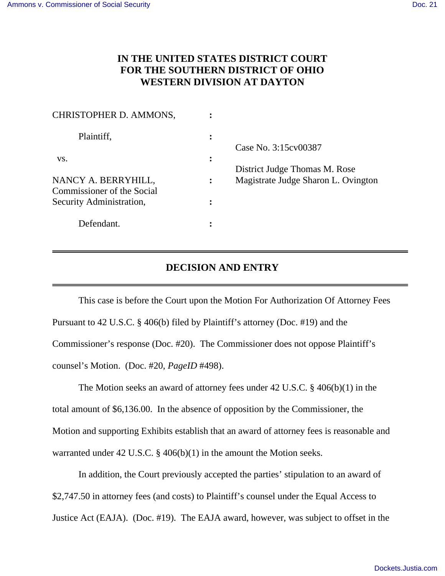## **IN THE UNITED STATES DISTRICT COURT FOR THE SOUTHERN DISTRICT OF OHIO WESTERN DIVISION AT DAYTON**

| CHRISTOPHER D. AMMONS,                            |           |                                                         |
|---------------------------------------------------|-----------|---------------------------------------------------------|
| Plaintiff,                                        | $\bullet$ | Case No. 3:15 cv 00387<br>District Judge Thomas M. Rose |
| VS.                                               | $\bullet$ |                                                         |
| NANCY A. BERRYHILL,<br>Commissioner of the Social |           | Magistrate Judge Sharon L. Ovington                     |
| Security Administration,                          |           |                                                         |
| Defendant.                                        |           |                                                         |

## **DECISION AND ENTRY**

 This case is before the Court upon the Motion For Authorization Of Attorney Fees Pursuant to 42 U.S.C. § 406(b) filed by Plaintiff's attorney (Doc. #19) and the Commissioner's response (Doc. #20). The Commissioner does not oppose Plaintiff's counsel's Motion. (Doc. #20, *PageID* #498).

 The Motion seeks an award of attorney fees under 42 U.S.C. § 406(b)(1) in the total amount of \$6,136.00. In the absence of opposition by the Commissioner, the Motion and supporting Exhibits establish that an award of attorney fees is reasonable and warranted under 42 U.S.C. § 406(b)(1) in the amount the Motion seeks.

 In addition, the Court previously accepted the parties' stipulation to an award of \$2,747.50 in attorney fees (and costs) to Plaintiff's counsel under the Equal Access to Justice Act (EAJA). (Doc. #19). The EAJA award, however, was subject to offset in the